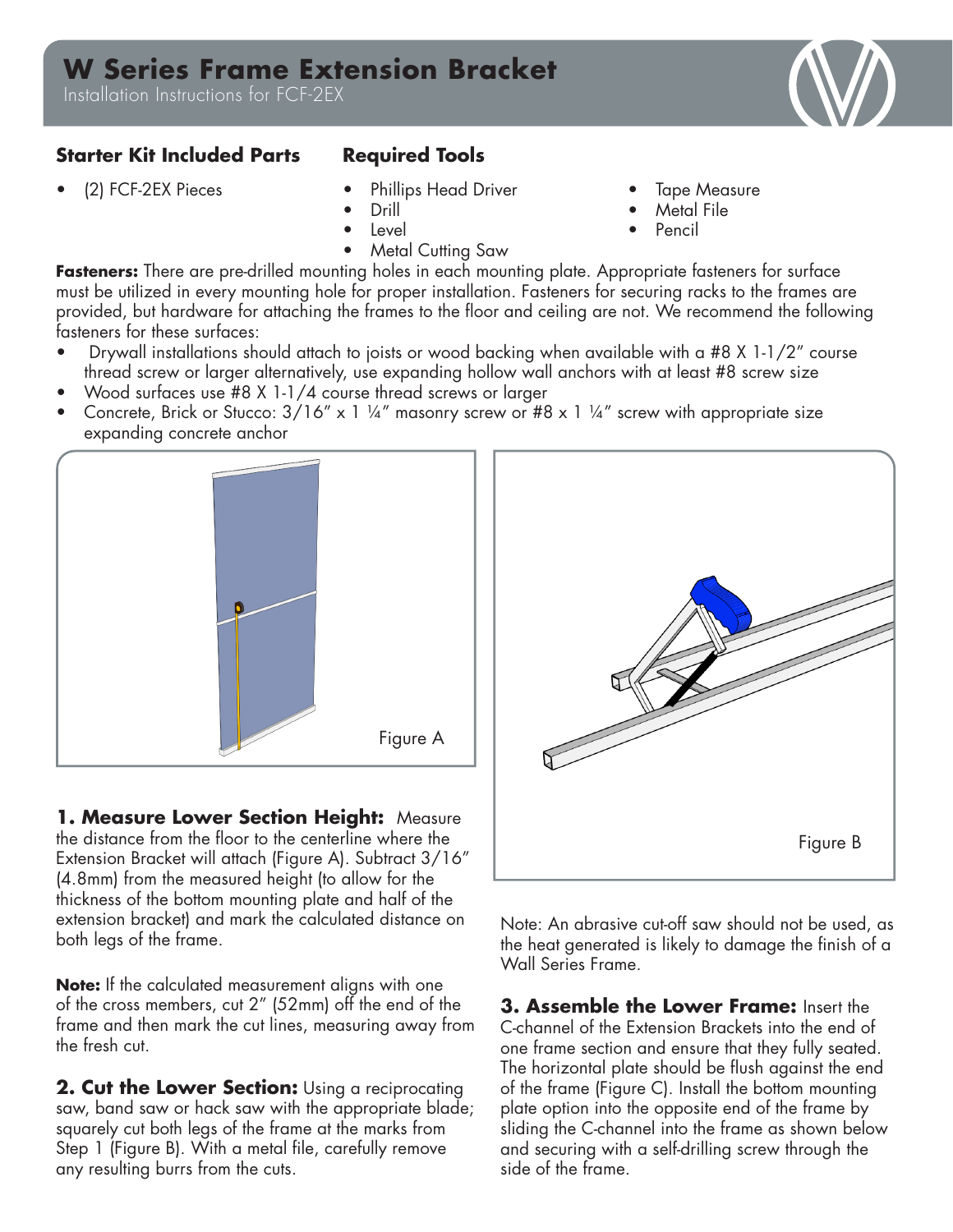## **W Series Frame Extension Bracket**

Installation Instructions for FCF-2EX

## **Starter Kit Included Parts Required Tools**

- (2) FCF-2EX Pieces Phillips Head Driver
	- Drill
	- Level
	- Metal Cutting Saw
- **Tape Measure**
- Metal File
- Pencil

**Fasteners:** There are pre-drilled mounting holes in each mounting plate. Appropriate fasteners for surface must be utilized in every mounting hole for proper installation. Fasteners for securing racks to the frames are provided, but hardware for attaching the frames to the floor and ceiling are not. We recommend the following fasteners for these surfaces:

- Drywall installations should attach to joists or wood backing when available with a #8 X 1-1/2" course thread screw or larger alternatively, use expanding hollow wall anchors with at least #8 screw size
- Wood surfaces use #8 X 1-1/4 course thread screws or larger
- Concrete, Brick or Stucco:  $3/16''$  x 1 ¼" masonry screw or #8 x 1 ¼" screw with appropriate size expanding concrete anchor



**1. Measure Lower Section Height:** Measure the distance from the floor to the centerline where the Extension Bracket will attach (Figure A). Subtract 3/16" (4.8mm) from the measured height (to allow for the thickness of the bottom mounting plate and half of the extension bracket) and mark the calculated distance on both legs of the frame.

**Note:** If the calculated measurement aligns with one of the cross members, cut 2" (52mm) off the end of the frame and then mark the cut lines, measuring away from the fresh cut.

**2. Cut the Lower Section:** Using a reciprocating saw, band saw or hack saw with the appropriate blade; squarely cut both legs of the frame at the marks from Step 1 (Figure B). With a metal file, carefully remove any resulting burrs from the cuts.

Note: An abrasive cut-off saw should not be used, as the heat generated is likely to damage the finish of a Wall Series Frame.

**3. Assemble the Lower Frame:** Insert the C-channel of the Extension Brackets into the end of one frame section and ensure that they fully seated. The horizontal plate should be flush against the end of the frame (Figure C). Install the bottom mounting plate option into the opposite end of the frame by sliding the C-channel into the frame as shown below and securing with a self-drilling screw through the side of the frame.